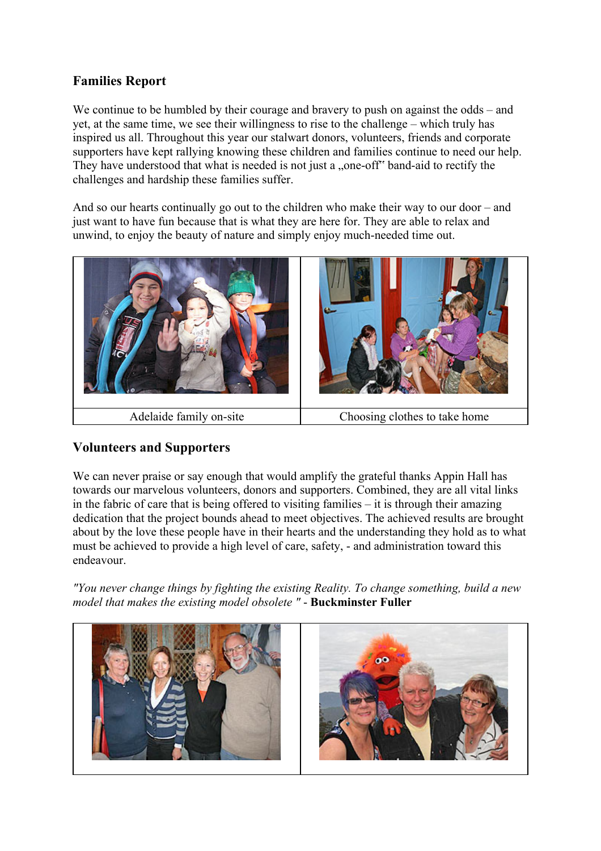## **Families Report**

We continue to be humbled by their courage and bravery to push on against the odds – and yet, at the same time, we see their willingness to rise to the challenge – which truly has inspired us all. Throughout this year our stalwart donors, volunteers, friends and corporate supporters have kept rallying knowing these children and families continue to need our help. They have understood that what is needed is not just a "one-off" band-aid to rectify the challenges and hardship these families suffer.

And so our hearts continually go out to the children who make their way to our door – and just want to have fun because that is what they are here for. They are able to relax and unwind, to enjoy the beauty of nature and simply enjoy much-needed time out.



## **Volunteers and Supporters**

We can never praise or say enough that would amplify the grateful thanks Appin Hall has towards our marvelous volunteers, donors and supporters. Combined, they are all vital links in the fabric of care that is being offered to visiting families – it is through their amazing dedication that the project bounds ahead to meet objectives. The achieved results are brought about by the love these people have in their hearts and the understanding they hold as to what must be achieved to provide a high level of care, safety, - and administration toward this endeavour.

*"You never change things by fighting the existing Reality. To change something, build a new model that makes the existing model obsolete "* - **Buckminster Fuller**

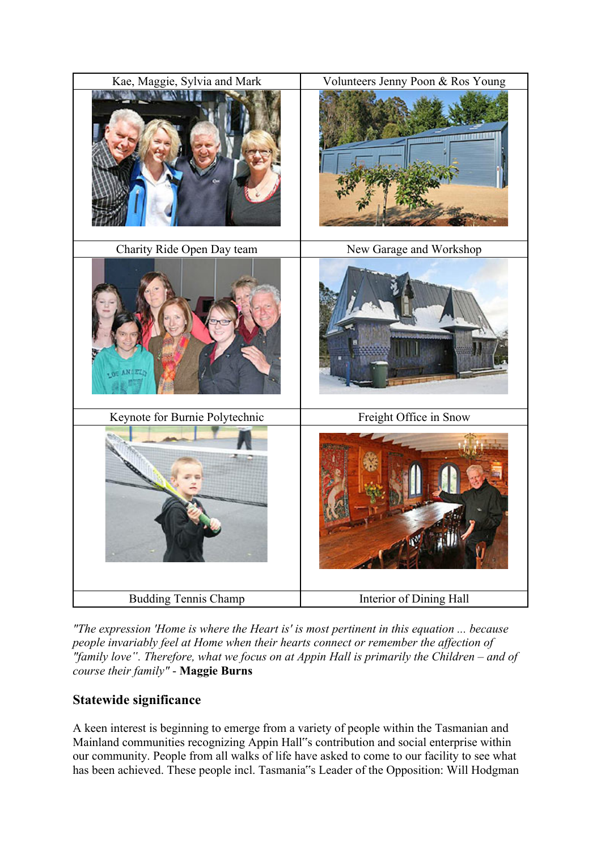

*"The expression 'Home is where the Heart is' is most pertinent in this equation ... because people invariably feel at Home when their hearts connect or remember the affection of "family love". Therefore, what we focus on at Appin Hall is primarily the Children – and of course their family"* - **Maggie Burns**

# **Statewide significance**

A keen interest is beginning to emerge from a variety of people within the Tasmanian and Mainland communities recognizing Appin Hall"s contribution and social enterprise within our community. People from all walks of life have asked to come to our facility to see what has been achieved. These people incl. Tasmania"s Leader of the Opposition: Will Hodgman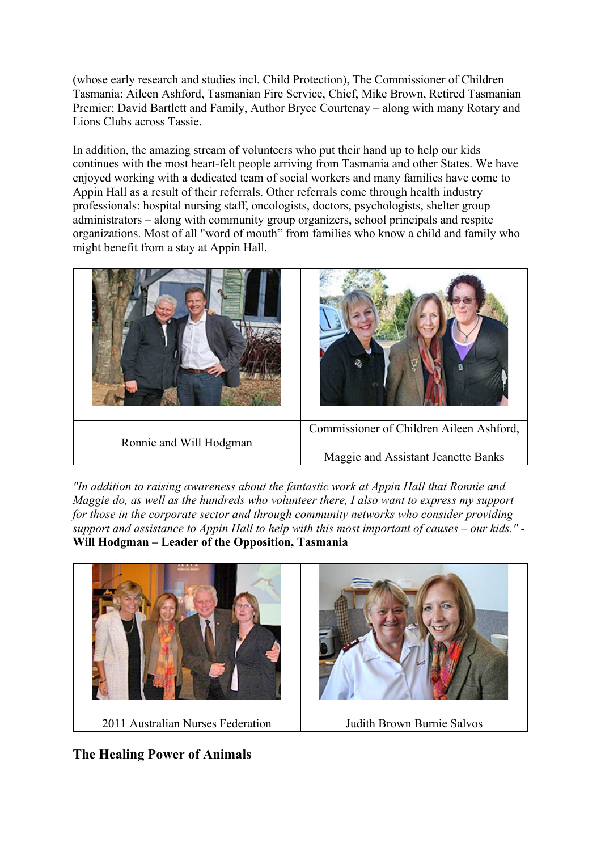(whose early research and studies incl. Child Protection), The Commissioner of Children Tasmania: Aileen Ashford, Tasmanian Fire Service, Chief, Mike Brown, Retired Tasmanian Premier; David Bartlett and Family, Author Bryce Courtenay – along with many Rotary and Lions Clubs across Tassie.

In addition, the amazing stream of volunteers who put their hand up to help our kids continues with the most heart-felt people arriving from Tasmania and other States. We have enjoyed working with a dedicated team of social workers and many families have come to Appin Hall as a result of their referrals. Other referrals come through health industry professionals: hospital nursing staff, oncologists, doctors, psychologists, shelter group administrators – along with community group organizers, school principals and respite organizations. Most of all "word of mouth" from families who know a child and family who might benefit from a stay at Appin Hall.



*"In addition to raising awareness about the fantastic work at Appin Hall that Ronnie and Maggie do, as well as the hundreds who volunteer there, I also want to express my support for those in the corporate sector and through community networks who consider providing support and assistance to Appin Hall to help with this most important of causes – our kids."* - **Will Hodgman – Leader of the Opposition, Tasmania**



**The Healing Power of Animals**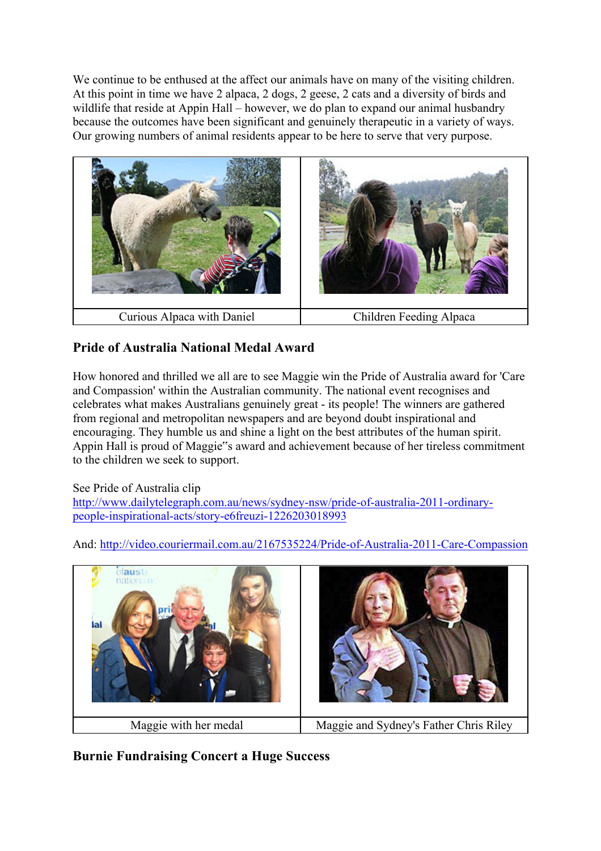We continue to be enthused at the affect our animals have on many of the visiting children. At this point in time we have 2 alpaca, 2 dogs, 2 geese, 2 cats and a diversity of birds and wildlife that reside at Appin Hall – however, we do plan to expand our animal husbandry because the outcomes have been significant and genuinely therapeutic in a variety of ways. Our growing numbers of animal residents appear to be here to serve that very purpose.



# **Pride of Australia National Medal Award**

How honored and thrilled we all are to see Maggie win the Pride of Australia award for 'Care and Compassion' within the Australian community. The national event recognises and celebrates what makes Australians genuinely great - its people! The winners are gathered from regional and metropolitan newspapers and are beyond doubt inspirational and encouraging. They humble us and shine a light on the best attributes of the human spirit. Appin Hall is proud of Maggie"s award and achievement because of her tireless commitment to the children we seek to support.

See Pride of Australia clip

http://www.dailytelegraph.com.au/news/sydney-nsw/pride-of-australia-2011-ordinarypeople-inspirational-acts/story-e6freuzi-1226203018993



And: http://video.couriermail.com.au/2167535224/Pride-of-Australia-2011-Care-Compassion

**Burnie Fundraising Concert a Huge Success**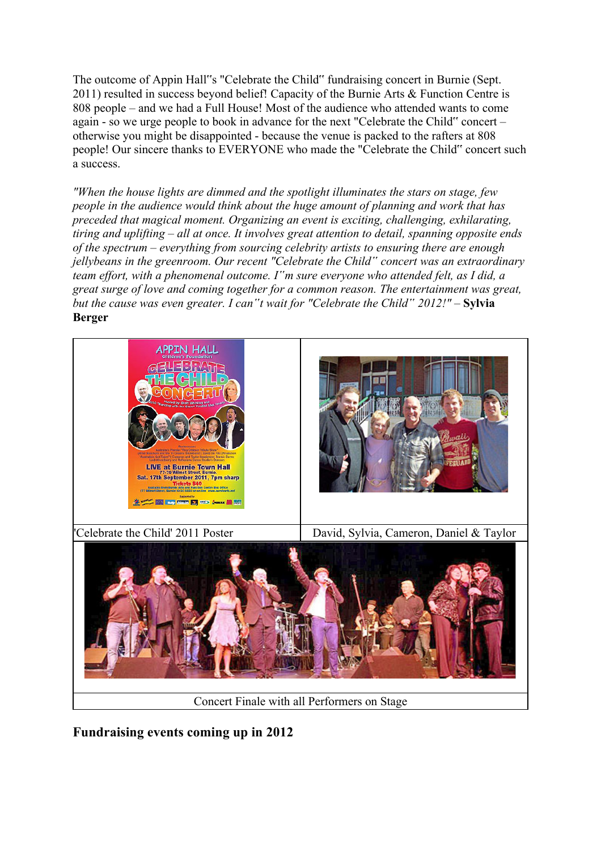The outcome of Appin Hall"s "Celebrate the Child" fundraising concert in Burnie (Sept. 2011) resulted in success beyond belief! Capacity of the Burnie Arts & Function Centre is 808 people – and we had a Full House! Most of the audience who attended wants to come again - so we urge people to book in advance for the next "Celebrate the Child" concert – otherwise you might be disappointed - because the venue is packed to the rafters at 808 people! Our sincere thanks to EVERYONE who made the "Celebrate the Child" concert such a success.

*"When the house lights are dimmed and the spotlight illuminates the stars on stage, few people in the audience would think about the huge amount of planning and work that has preceded that magical moment. Organizing an event is exciting, challenging, exhilarating, tiring and uplifting – all at once. It involves great attention to detail, spanning opposite ends of the spectrum – everything from sourcing celebrity artists to ensuring there are enough jellybeans in the greenroom. Our recent "Celebrate the Child" concert was an extraordinary team effort, with a phenomenal outcome. I"m sure everyone who attended felt, as I did, a great surge of love and coming together for a common reason. The entertainment was great, but the cause was even greater. I can"t wait for "Celebrate the Child" 2012!"* – **Sylvia Berger**



**Fundraising events coming up in 2012**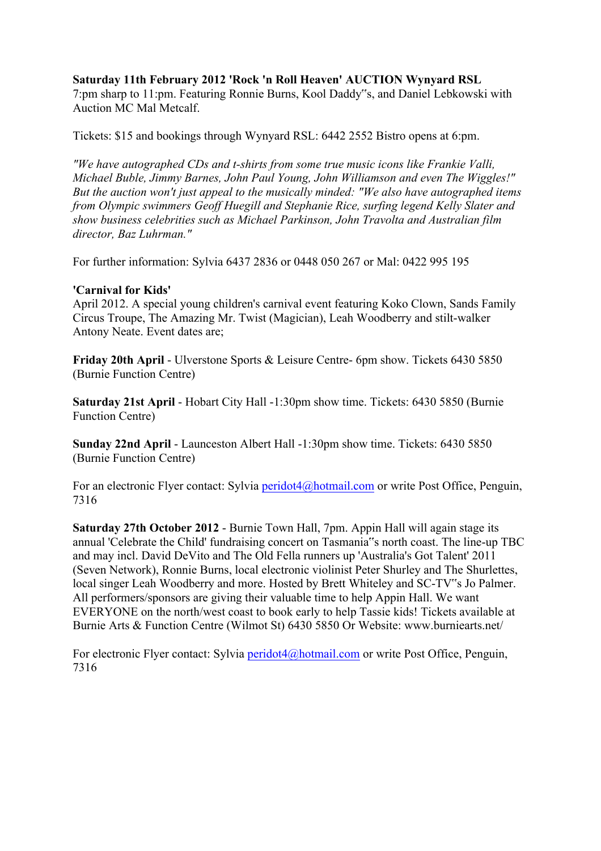#### **Saturday 11th February 2012 'Rock 'n Roll Heaven' AUCTION Wynyard RSL**

7:pm sharp to 11:pm. Featuring Ronnie Burns, Kool Daddy"s, and Daniel Lebkowski with Auction MC Mal Metcalf.

Tickets: \$15 and bookings through Wynyard RSL: 6442 2552 Bistro opens at 6:pm.

*"We have autographed CDs and t-shirts from some true music icons like Frankie Valli, Michael Buble, Jimmy Barnes, John Paul Young, John Williamson and even The Wiggles!" But the auction won't just appeal to the musically minded: "We also have autographed items from Olympic swimmers Geoff Huegill and Stephanie Rice, surfing legend Kelly Slater and show business celebrities such as Michael Parkinson, John Travolta and Australian film director, Baz Luhrman."*

For further information: Sylvia 6437 2836 or 0448 050 267 or Mal: 0422 995 195

#### **'Carnival for Kids'**

April 2012. A special young children's carnival event featuring Koko Clown, Sands Family Circus Troupe, The Amazing Mr. Twist (Magician), Leah Woodberry and stilt-walker Antony Neate. Event dates are;

**Friday 20th April** - Ulverstone Sports & Leisure Centre- 6pm show. Tickets 6430 5850 (Burnie Function Centre)

**Saturday 21st April** - Hobart City Hall -1:30pm show time. Tickets: 6430 5850 (Burnie Function Centre)

**Sunday 22nd April** - Launceston Albert Hall -1:30pm show time. Tickets: 6430 5850 (Burnie Function Centre)

For an electronic Flyer contact: Sylvia peridot4@hotmail.com or write Post Office, Penguin, 7316

**Saturday 27th October 2012** - Burnie Town Hall, 7pm. Appin Hall will again stage its annual 'Celebrate the Child' fundraising concert on Tasmania"s north coast. The line-up TBC and may incl. David DeVito and The Old Fella runners up 'Australia's Got Talent' 2011 (Seven Network), Ronnie Burns, local electronic violinist Peter Shurley and The Shurlettes, local singer Leah Woodberry and more. Hosted by Brett Whiteley and SC-TV"s Jo Palmer. All performers/sponsors are giving their valuable time to help Appin Hall. We want EVERYONE on the north/west coast to book early to help Tassie kids! Tickets available at Burnie Arts & Function Centre (Wilmot St) 6430 5850 Or Website: www.burniearts.net/

For electronic Flyer contact: Sylvia peridot4@hotmail.com or write Post Office, Penguin, 7316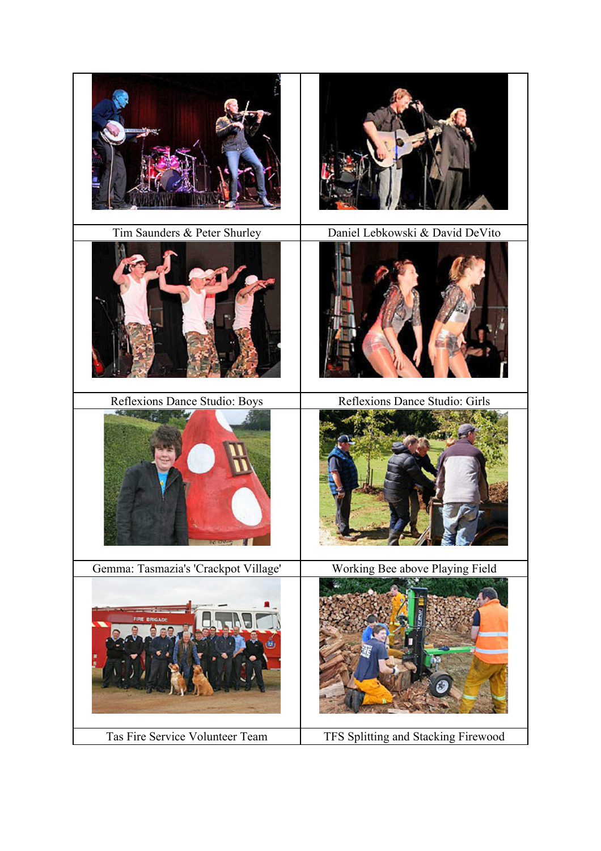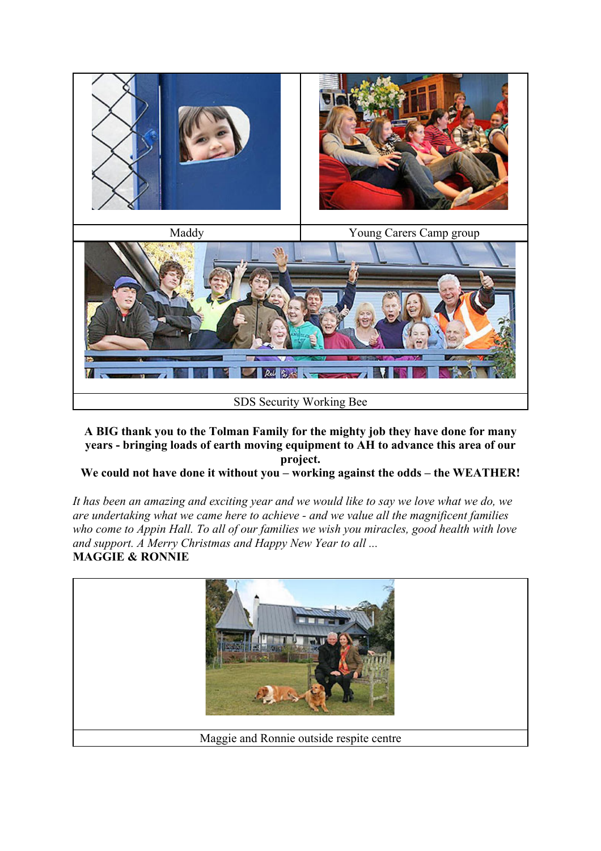

**A BIG thank you to the Tolman Family for the mighty job they have done for many years - bringing loads of earth moving equipment to AH to advance this area of our project.**

### **We could not have done it without you – working against the odds – the WEATHER!**

*It has been an amazing and exciting year and we would like to say we love what we do, we are undertaking what we came here to achieve - and we value all the magnificent families who come to Appin Hall. To all of our families we wish you miracles, good health with love and support. A Merry Christmas and Happy New Year to all ...* **MAGGIE & RONNIE**